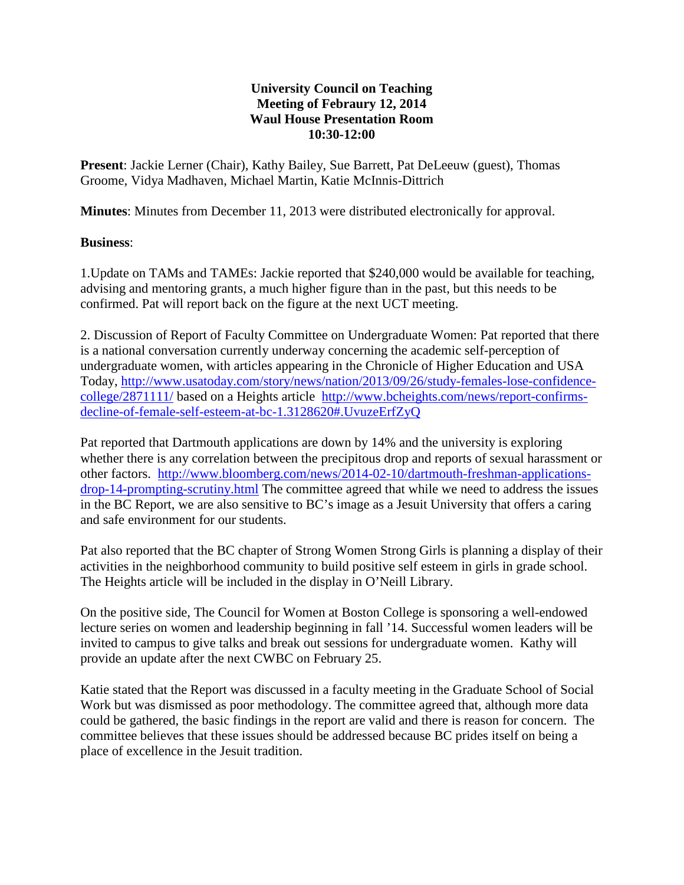## **University Council on Teaching Meeting of Febraury 12, 2014 Waul House Presentation Room 10:30-12:00**

**Present**: Jackie Lerner (Chair), Kathy Bailey, Sue Barrett, Pat DeLeeuw (guest), Thomas Groome, Vidya Madhaven, Michael Martin, Katie McInnis-Dittrich

**Minutes**: Minutes from December 11, 2013 were distributed electronically for approval.

## **Business**:

1.Update on TAMs and TAMEs: Jackie reported that \$240,000 would be available for teaching, advising and mentoring grants, a much higher figure than in the past, but this needs to be confirmed. Pat will report back on the figure at the next UCT meeting.

2. Discussion of Report of Faculty Committee on Undergraduate Women: Pat reported that there is a national conversation currently underway concerning the academic self-perception of undergraduate women, with articles appearing in the Chronicle of Higher Education and USA Today, [http://www.usatoday.com/story/news/nation/2013/09/26/study-females-lose-confidence](http://www.usatoday.com/story/news/nation/2013/09/26/study-females-lose-confidence-college/2871111/)[college/2871111/](http://www.usatoday.com/story/news/nation/2013/09/26/study-females-lose-confidence-college/2871111/) based on a Heights article [http://www.bcheights.com/news/report-confirms](http://www.bcheights.com/news/report-confirms-decline-of-female-self-esteem-at-bc-1.3128620#.UvuzeErfZyQ)[decline-of-female-self-esteem-at-bc-1.3128620#.UvuzeErfZyQ](http://www.bcheights.com/news/report-confirms-decline-of-female-self-esteem-at-bc-1.3128620#.UvuzeErfZyQ)

Pat reported that Dartmouth applications are down by 14% and the university is exploring whether there is any correlation between the precipitous drop and reports of sexual harassment or other factors. [http://www.bloomberg.com/news/2014-02-10/dartmouth-freshman-applications](http://www.bloomberg.com/news/2014-02-10/dartmouth-freshman-applications-drop-14-prompting-scrutiny.html)[drop-14-prompting-scrutiny.html](http://www.bloomberg.com/news/2014-02-10/dartmouth-freshman-applications-drop-14-prompting-scrutiny.html) The committee agreed that while we need to address the issues in the BC Report, we are also sensitive to BC's image as a Jesuit University that offers a caring and safe environment for our students.

Pat also reported that the BC chapter of Strong Women Strong Girls is planning a display of their activities in the neighborhood community to build positive self esteem in girls in grade school. The Heights article will be included in the display in O'Neill Library.

On the positive side, The Council for Women at Boston College is sponsoring a well-endowed lecture series on women and leadership beginning in fall '14. Successful women leaders will be invited to campus to give talks and break out sessions for undergraduate women. Kathy will provide an update after the next CWBC on February 25.

Katie stated that the Report was discussed in a faculty meeting in the Graduate School of Social Work but was dismissed as poor methodology. The committee agreed that, although more data could be gathered, the basic findings in the report are valid and there is reason for concern. The committee believes that these issues should be addressed because BC prides itself on being a place of excellence in the Jesuit tradition.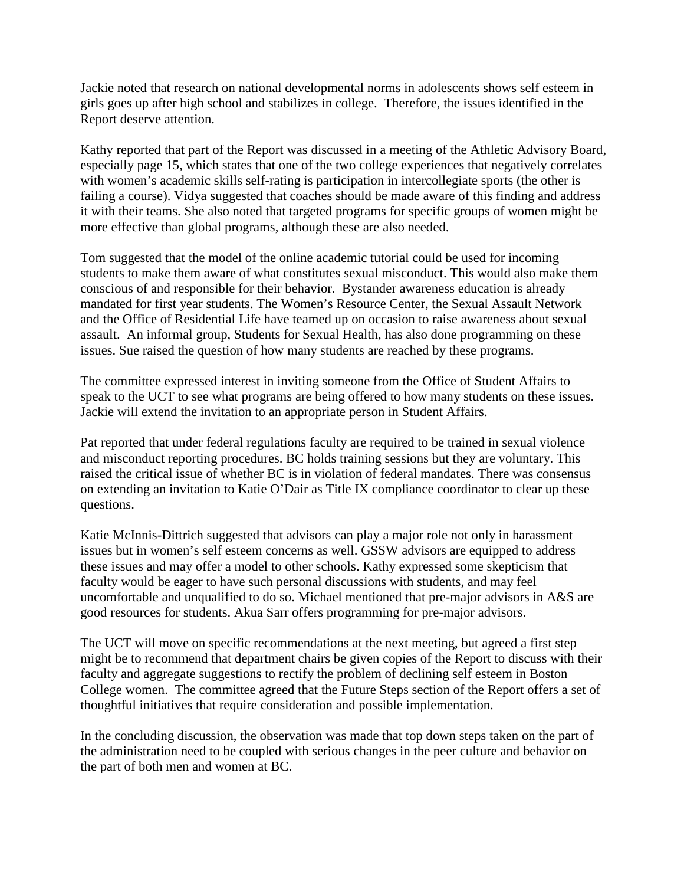Jackie noted that research on national developmental norms in adolescents shows self esteem in girls goes up after high school and stabilizes in college. Therefore, the issues identified in the Report deserve attention.

Kathy reported that part of the Report was discussed in a meeting of the Athletic Advisory Board, especially page 15, which states that one of the two college experiences that negatively correlates with women's academic skills self-rating is participation in intercollegiate sports (the other is failing a course). Vidya suggested that coaches should be made aware of this finding and address it with their teams. She also noted that targeted programs for specific groups of women might be more effective than global programs, although these are also needed.

Tom suggested that the model of the online academic tutorial could be used for incoming students to make them aware of what constitutes sexual misconduct. This would also make them conscious of and responsible for their behavior. Bystander awareness education is already mandated for first year students. The Women's Resource Center, the Sexual Assault Network and the Office of Residential Life have teamed up on occasion to raise awareness about sexual assault. An informal group, Students for Sexual Health, has also done programming on these issues. Sue raised the question of how many students are reached by these programs.

The committee expressed interest in inviting someone from the Office of Student Affairs to speak to the UCT to see what programs are being offered to how many students on these issues. Jackie will extend the invitation to an appropriate person in Student Affairs.

Pat reported that under federal regulations faculty are required to be trained in sexual violence and misconduct reporting procedures. BC holds training sessions but they are voluntary. This raised the critical issue of whether BC is in violation of federal mandates. There was consensus on extending an invitation to Katie O'Dair as Title IX compliance coordinator to clear up these questions.

Katie McInnis-Dittrich suggested that advisors can play a major role not only in harassment issues but in women's self esteem concerns as well. GSSW advisors are equipped to address these issues and may offer a model to other schools. Kathy expressed some skepticism that faculty would be eager to have such personal discussions with students, and may feel uncomfortable and unqualified to do so. Michael mentioned that pre-major advisors in A&S are good resources for students. Akua Sarr offers programming for pre-major advisors.

The UCT will move on specific recommendations at the next meeting, but agreed a first step might be to recommend that department chairs be given copies of the Report to discuss with their faculty and aggregate suggestions to rectify the problem of declining self esteem in Boston College women. The committee agreed that the Future Steps section of the Report offers a set of thoughtful initiatives that require consideration and possible implementation.

In the concluding discussion, the observation was made that top down steps taken on the part of the administration need to be coupled with serious changes in the peer culture and behavior on the part of both men and women at BC.